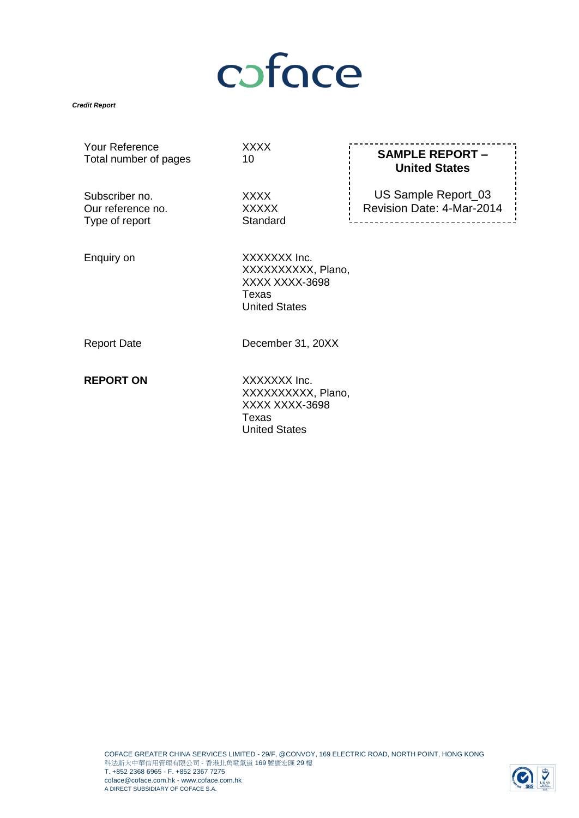# coface

#### *Credit Report*

Your Reference XXXX Total number of pages 10

Subscriber no. XXXX Our reference no. Type of report Standard

**SAMPLE REPORT – United States**

\_\_\_\_\_\_\_\_\_\_\_\_\_\_\_\_\_\_\_\_\_\_\_\_\_\_\_\_

US Sample Report\_03 Revision Date: 4-Mar-2014

Enquiry on XXXXXXX Inc. XXXXXXXXXX, Plano, XXXX XXXX-3698 Texas United States

Report Date December 31, 20XX

**REPORT ON XXXXXXX Inc.** XXXXXXXXXX, Plano, XXXX XXXX-3698 Texas United States

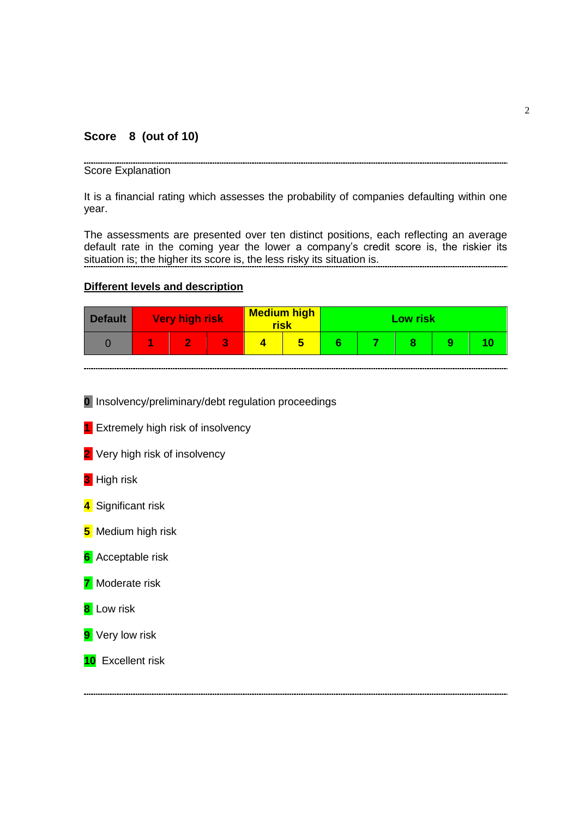## **Score 8 (out of 10)**

Score Explanation

It is a financial rating which assesses the probability of companies defaulting within one year.

The assessments are presented over ten distinct positions, each reflecting an average default rate in the coming year the lower a company's credit score is, the riskier its situation is; the higher its score is, the less risky its situation is.

## **Different levels and description**

| <b>Default</b> | Very high risk |  | <b>Medium high</b><br>risk |  | <b>Low risk</b> |  |  |  |  |  |
|----------------|----------------|--|----------------------------|--|-----------------|--|--|--|--|--|
|                |                |  |                            |  |                 |  |  |  |  |  |

**0** Insolvency/preliminary/debt regulation proceedings

- **1** Extremely high risk of insolvency
- **2** Very high risk of insolvency
- **3** High risk
- **4** Significant risk
- **5** Medium high risk
- **6** Acceptable risk
- **7** Moderate risk
- **8** Low risk
- **9** Very low risk
- **10** Excellent risk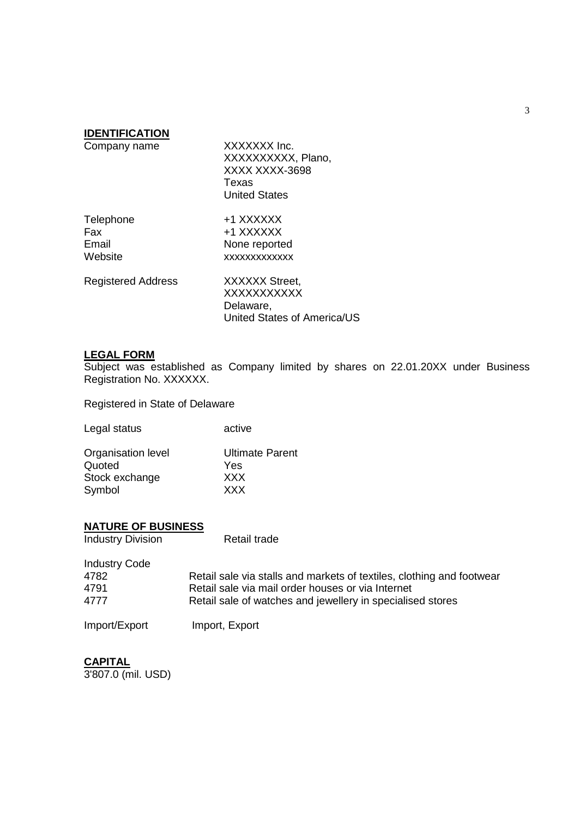## **IDENTIFICATION**

Company name XXXXXXX Inc.

XXXXXXXXXX, Plano, XXXX XXXX-3698 Texas United States

| Telephone |  |
|-----------|--|
| Fax       |  |
| Email     |  |
| Website   |  |

+1 XXXXXX +1 XXXXXX None reported xxxxxxxxxxx Registered Address XXXXXX Street,

**XXXXXXXXXX** Delaware, United States of America/US

## **LEGAL FORM**

Subject was established as Company limited by shares on 22.01.20XX under Business Registration No. XXXXXX.

Registered in State of Delaware

| Legal status | active |
|--------------|--------|
|              |        |

Organisation level Ultimate Parent<br>
Quoted Yes Quoted Stock exchange XXX Symbol XXX

## **NATURE OF BUSINESS**

**Industry Division** Retail trade

Industry Code Retail sale via stalls and markets of textiles, clothing and footwear Retail sale via mail order houses or via Internet Retail sale of watches and jewellery in specialised stores

Import/Export Import, Export

**CAPITAL**

3'807.0 (mil. USD)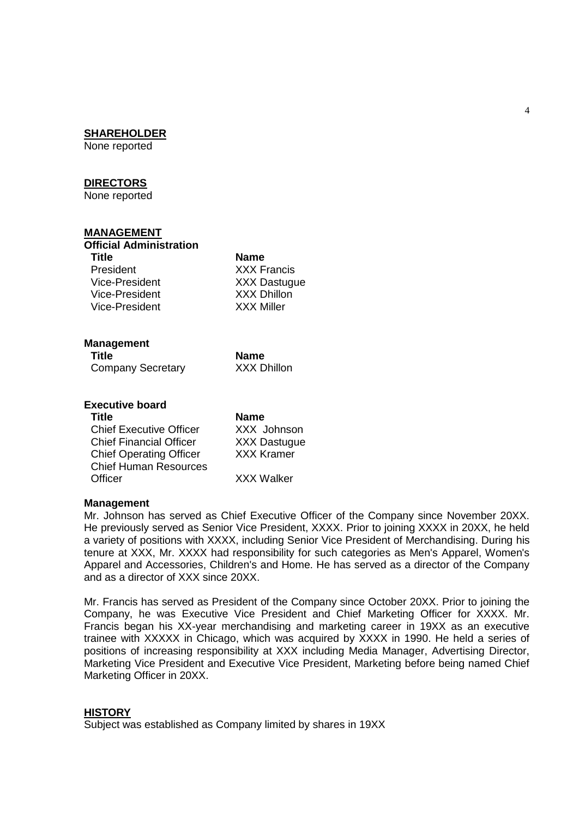## **SHAREHOLDER**

None reported

### **DIRECTORS**

None reported

### **MANAGEMENT**

## **Official Administration**

**Title Name** President XXX Francis<br>Vice-President XXX Dastugu Vice-President XXX Dhillon<br>Vice-President XXX Miller Vice-President

XXX Dastugue

#### **Management**

**Title**<br> **Company Secretary**<br> **Company Secretary**<br> **NAMELY**<br> **NAMELY** Company Secretary

| <b>Name</b>         |
|---------------------|
| XXX Johnson         |
| <b>XXX Dastugue</b> |
| <b>XXX Kramer</b>   |
|                     |
| <b>XXX Walker</b>   |
|                     |

#### **Management**

Mr. Johnson has served as Chief Executive Officer of the Company since November 20XX. He previously served as Senior Vice President, XXXX. Prior to joining XXXX in 20XX, he held a variety of positions with XXXX, including Senior Vice President of Merchandising. During his tenure at XXX, Mr. XXXX had responsibility for such categories as Men's Apparel, Women's Apparel and Accessories, Children's and Home. He has served as a director of the Company and as a director of XXX since 20XX.

Mr. Francis has served as President of the Company since October 20XX. Prior to joining the Company, he was Executive Vice President and Chief Marketing Officer for XXXX. Mr. Francis began his XX-year merchandising and marketing career in 19XX as an executive trainee with XXXXX in Chicago, which was acquired by XXXX in 1990. He held a series of positions of increasing responsibility at XXX including Media Manager, Advertising Director, Marketing Vice President and Executive Vice President, Marketing before being named Chief Marketing Officer in 20XX.

#### **HISTORY**

Subject was established as Company limited by shares in 19XX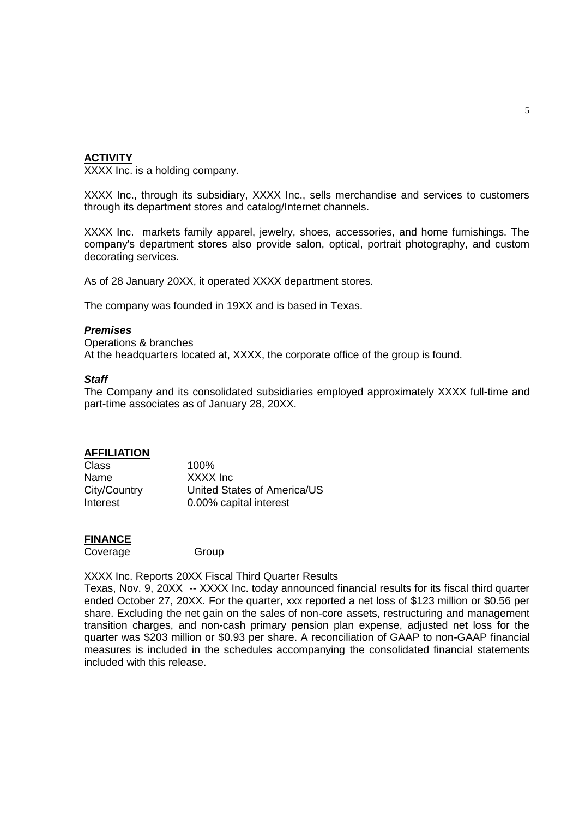## **ACTIVITY**

XXXX Inc. is a holding company.

XXXX Inc., through its subsidiary, XXXX Inc., sells merchandise and services to customers through its department stores and catalog/Internet channels.

XXXX Inc. markets family apparel, jewelry, shoes, accessories, and home furnishings. The company's department stores also provide salon, optical, portrait photography, and custom decorating services.

As of 28 January 20XX, it operated XXXX department stores.

The company was founded in 19XX and is based in Texas.

#### *Premises*

Operations & branches At the headquarters located at, XXXX, the corporate office of the group is found.

#### *Staff*

The Company and its consolidated subsidiaries employed approximately XXXX full-time and part-time associates as of January 28, 20XX.

#### **AFFILIATION**

| <b>Class</b> | $100\%$                     |
|--------------|-----------------------------|
| Name         | XXXX Inc                    |
| City/Country | United States of America/US |
| Interest     | 0.00% capital interest      |

## **FINANCE**

Coverage Group

XXXX Inc. Reports 20XX Fiscal Third Quarter Results

Texas, Nov. 9, 20XX -- XXXX Inc. today announced financial results for its fiscal third quarter ended October 27, 20XX. For the quarter, xxx reported a net loss of \$123 million or \$0.56 per share. Excluding the net gain on the sales of non-core assets, restructuring and management transition charges, and non-cash primary pension plan expense, adjusted net loss for the quarter was \$203 million or \$0.93 per share. A reconciliation of GAAP to non-GAAP financial measures is included in the schedules accompanying the consolidated financial statements included with this release.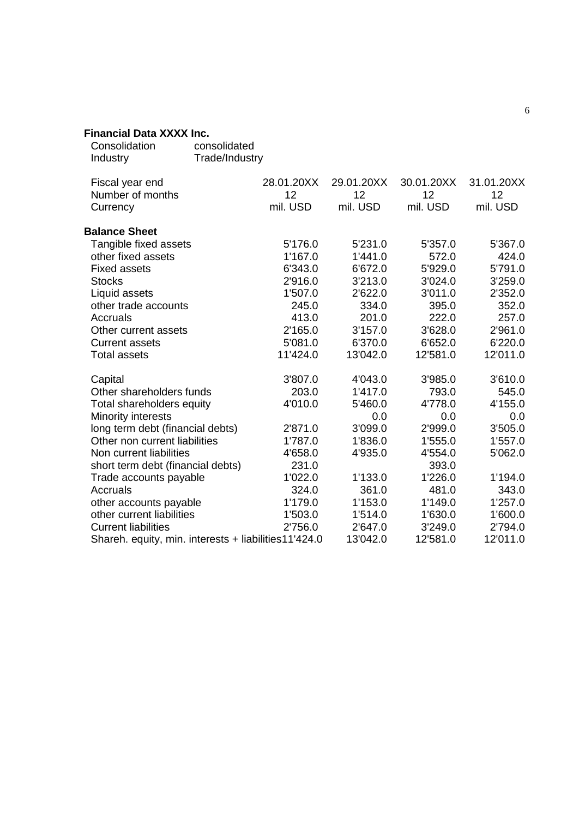## **Financial Data XXXX Inc.**

| Consolidation<br>Industry                            | consolidated<br>Trade/Industry |                              |                              |                              |                              |
|------------------------------------------------------|--------------------------------|------------------------------|------------------------------|------------------------------|------------------------------|
| Fiscal year end<br>Number of months<br>Currency      |                                | 28.01.20XX<br>12<br>mil. USD | 29.01.20XX<br>12<br>mil. USD | 30.01.20XX<br>12<br>mil. USD | 31.01.20XX<br>12<br>mil. USD |
| <b>Balance Sheet</b>                                 |                                |                              |                              |                              |                              |
| Tangible fixed assets                                |                                | 5'176.0                      | 5'231.0                      | 5'357.0                      | 5'367.0                      |
| other fixed assets                                   |                                | 1'167.0                      | 1'441.0                      | 572.0                        | 424.0                        |
| <b>Fixed assets</b>                                  |                                | 6'343.0                      | 6'672.0                      | 5'929.0                      | 5'791.0                      |
| <b>Stocks</b>                                        |                                | 2'916.0                      | 3'213.0                      | 3'024.0                      | 3'259.0                      |
| Liquid assets                                        |                                | 1'507.0                      | 2'622.0                      | 3'011.0                      | 2'352.0                      |
| other trade accounts                                 |                                | 245.0                        | 334.0                        | 395.0                        | 352.0                        |
| Accruals                                             |                                | 413.0                        | 201.0                        | 222.0                        | 257.0                        |
| Other current assets                                 |                                | 2'165.0                      | 3'157.0                      | 3'628.0                      | 2'961.0                      |
| <b>Current assets</b>                                |                                | 5'081.0                      | 6'370.0                      | 6'652.0                      | 6'220.0                      |
| <b>Total assets</b>                                  |                                | 11'424.0                     | 13'042.0                     | 12'581.0                     | 12'011.0                     |
| Capital                                              |                                | 3'807.0                      | 4'043.0                      | 3'985.0                      | 3'610.0                      |
| Other shareholders funds                             |                                | 203.0                        | 1'417.0                      | 793.0                        | 545.0                        |
| Total shareholders equity                            |                                | 4'010.0                      | 5'460.0                      | 4'778.0                      | 4'155.0                      |
| Minority interests                                   |                                |                              | 0.0                          | 0.0                          | 0.0                          |
| long term debt (financial debts)                     |                                | 2'871.0                      | 3'099.0                      | 2'999.0                      | 3'505.0                      |
| Other non current liabilities                        |                                | 1'787.0                      | 1'836.0                      | 1'555.0                      | 1'557.0                      |
| Non current liabilities                              |                                | 4'658.0                      | 4'935.0                      | 4'554.0                      | 5'062.0                      |
| short term debt (financial debts)                    |                                | 231.0                        |                              | 393.0                        |                              |
| Trade accounts payable                               |                                | 1'022.0                      | 1'133.0                      | 1'226.0                      | 1'194.0                      |
| Accruals                                             |                                | 324.0                        | 361.0                        | 481.0                        | 343.0                        |
| other accounts payable                               |                                | 1'179.0                      | 1'153.0                      | 1'149.0                      | 1'257.0                      |
| other current liabilities                            |                                | 1'503.0                      | 1'514.0                      | 1'630.0                      | 1'600.0                      |
| <b>Current liabilities</b>                           |                                | 2'756.0                      | 2'647.0                      | 3'249.0                      | 2'794.0                      |
| Shareh. equity, min. interests + liabilities11'424.0 |                                |                              | 13'042.0                     | 12'581.0                     | 12'011.0                     |
|                                                      |                                |                              |                              |                              |                              |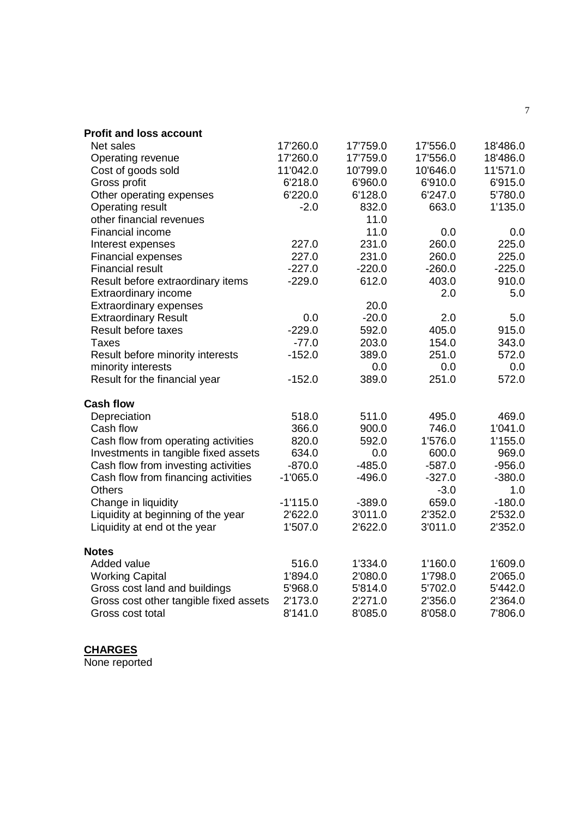| <b>Profit and loss account</b>         |            |          |          |          |
|----------------------------------------|------------|----------|----------|----------|
| Net sales                              | 17'260.0   | 17'759.0 | 17'556.0 | 18'486.0 |
| Operating revenue                      | 17'260.0   | 17'759.0 | 17'556.0 | 18'486.0 |
| Cost of goods sold                     | 11'042.0   | 10'799.0 | 10'646.0 | 11'571.0 |
| Gross profit                           | 6'218.0    | 6'960.0  | 6'910.0  | 6'915.0  |
| Other operating expenses               | 6'220.0    | 6'128.0  | 6'247.0  | 5'780.0  |
| <b>Operating result</b>                | $-2.0$     | 832.0    | 663.0    | 1'135.0  |
| other financial revenues               |            | 11.0     |          |          |
| Financial income                       |            | 11.0     | 0.0      | 0.0      |
| Interest expenses                      | 227.0      | 231.0    | 260.0    | 225.0    |
| <b>Financial expenses</b>              | 227.0      | 231.0    | 260.0    | 225.0    |
| <b>Financial result</b>                | $-227.0$   | $-220.0$ | $-260.0$ | $-225.0$ |
| Result before extraordinary items      | $-229.0$   | 612.0    | 403.0    | 910.0    |
| Extraordinary income                   |            |          | 2.0      | 5.0      |
| <b>Extraordinary expenses</b>          |            | 20.0     |          |          |
| <b>Extraordinary Result</b>            | 0.0        | $-20.0$  | 2.0      | 5.0      |
| <b>Result before taxes</b>             | $-229.0$   | 592.0    | 405.0    | 915.0    |
| <b>Taxes</b>                           | $-77.0$    | 203.0    | 154.0    | 343.0    |
| Result before minority interests       | $-152.0$   | 389.0    | 251.0    | 572.0    |
| minority interests                     |            | 0.0      | 0.0      | 0.0      |
| Result for the financial year          | $-152.0$   | 389.0    | 251.0    | 572.0    |
| <b>Cash flow</b>                       |            |          |          |          |
| Depreciation                           | 518.0      | 511.0    | 495.0    | 469.0    |
| Cash flow                              | 366.0      | 900.0    | 746.0    | 1'041.0  |
| Cash flow from operating activities    | 820.0      | 592.0    | 1'576.0  | 1'155.0  |
| Investments in tangible fixed assets   | 634.0      | 0.0      | 600.0    | 969.0    |
| Cash flow from investing activities    | $-870.0$   | $-485.0$ | $-587.0$ | $-956.0$ |
| Cash flow from financing activities    | $-1'065.0$ | $-496.0$ | $-327.0$ | $-380.0$ |
| <b>Others</b>                          |            |          | $-3.0$   | 1.0      |
| Change in liquidity                    | $-1'115.0$ | $-389.0$ | 659.0    | $-180.0$ |
| Liquidity at beginning of the year     | 2'622.0    | 3'011.0  | 2'352.0  | 2'532.0  |
| Liquidity at end ot the year           | 1'507.0    | 2'622.0  | 3'011.0  | 2'352.0  |
| <b>Notes</b>                           |            |          |          |          |
| Added value                            | 516.0      | 1'334.0  | 1'160.0  | 1'609.0  |
| <b>Working Capital</b>                 | 1'894.0    | 2'080.0  | 1'798.0  | 2'065.0  |
| Gross cost land and buildings          | 5'968.0    | 5'814.0  | 5'702.0  | 5'442.0  |
| Gross cost other tangible fixed assets | 2'173.0    | 2'271.0  | 2'356.0  | 2'364.0  |
| Gross cost total                       | 8'141.0    | 8'085.0  | 8'058.0  | 7'806.0  |

## **CHARGES**

None reported